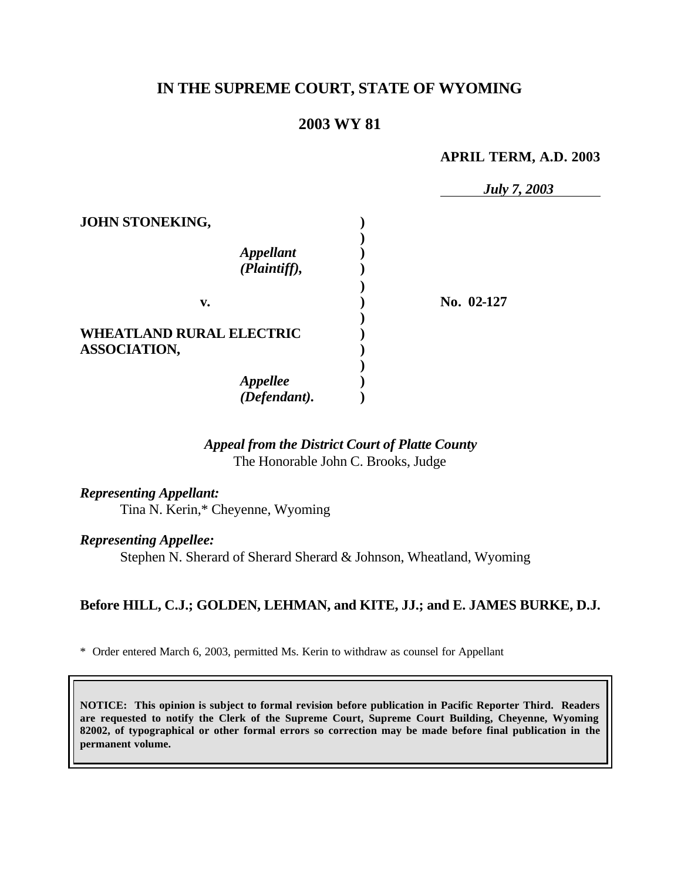# **IN THE SUPREME COURT, STATE OF WYOMING**

# **2003 WY 81**

#### **APRIL TERM, A.D. 2003**

|                                 | <b>July 7, 2003</b> |
|---------------------------------|---------------------|
| JOHN STONEKING,                 |                     |
|                                 |                     |
| <b>Appellant</b>                |                     |
| (Plaintiff),                    |                     |
|                                 |                     |
| v.                              | No. 02-127          |
|                                 |                     |
| <b>WHEATLAND RURAL ELECTRIC</b> |                     |
| <b>ASSOCIATION,</b>             |                     |
|                                 |                     |
|                                 |                     |
| Appellee<br>(Defendant).        |                     |

## *Appeal from the District Court of Platte County* The Honorable John C. Brooks, Judge

# *Representing Appellant:*

Tina N. Kerin,\* Cheyenne, Wyoming

## *Representing Appellee:*

Stephen N. Sherard of Sherard Sherard & Johnson, Wheatland, Wyoming

## **Before HILL, C.J.; GOLDEN, LEHMAN, and KITE, JJ.; and E. JAMES BURKE, D.J.**

\* Order entered March 6, 2003, permitted Ms. Kerin to withdraw as counsel for Appellant

**NOTICE: This opinion is subject to formal revision before publication in Pacific Reporter Third. Readers are requested to notify the Clerk of the Supreme Court, Supreme Court Building, Cheyenne, Wyoming 82002, of typographical or other formal errors so correction may be made before final publication in the permanent volume.**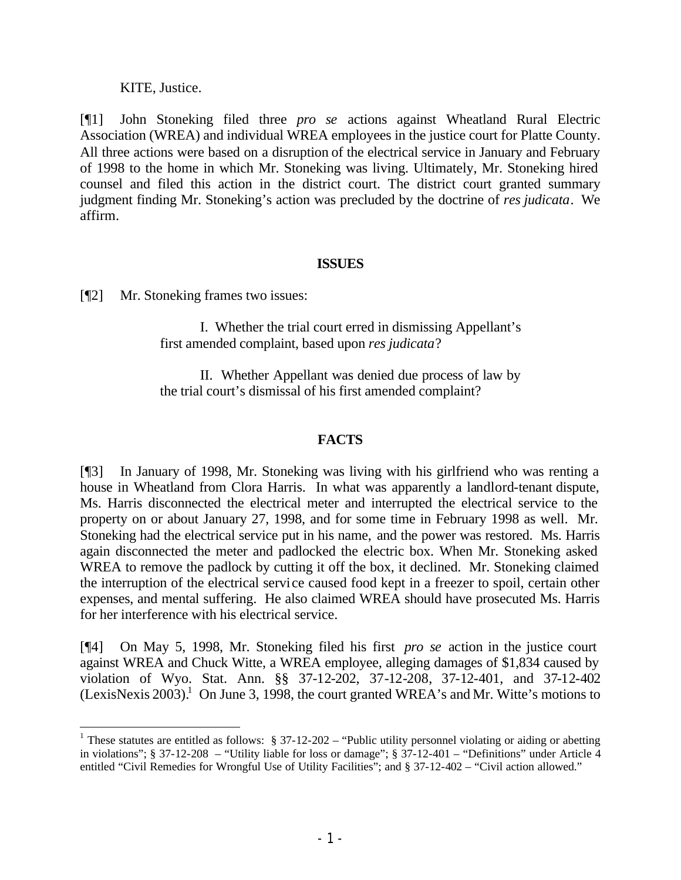## KITE, Justice.

[¶1] John Stoneking filed three *pro se* actions against Wheatland Rural Electric Association (WREA) and individual WREA employees in the justice court for Platte County. All three actions were based on a disruption of the electrical service in January and February of 1998 to the home in which Mr. Stoneking was living. Ultimately, Mr. Stoneking hired counsel and filed this action in the district court. The district court granted summary judgment finding Mr. Stoneking's action was precluded by the doctrine of *res judicata*. We affirm.

## **ISSUES**

[¶2] Mr. Stoneking frames two issues:

I. Whether the trial court erred in dismissing Appellant's first amended complaint, based upon *res judicata*?

II. Whether Appellant was denied due process of law by the trial court's dismissal of his first amended complaint?

## **FACTS**

[¶3] In January of 1998, Mr. Stoneking was living with his girlfriend who was renting a house in Wheatland from Clora Harris. In what was apparently a landlord-tenant dispute, Ms. Harris disconnected the electrical meter and interrupted the electrical service to the property on or about January 27, 1998, and for some time in February 1998 as well. Mr. Stoneking had the electrical service put in his name, and the power was restored. Ms. Harris again disconnected the meter and padlocked the electric box. When Mr. Stoneking asked WREA to remove the padlock by cutting it off the box, it declined. Mr. Stoneking claimed the interruption of the electrical service caused food kept in a freezer to spoil, certain other expenses, and mental suffering. He also claimed WREA should have prosecuted Ms. Harris for her interference with his electrical service.

[¶4] On May 5, 1998, Mr. Stoneking filed his first *pro se* action in the justice court against WREA and Chuck Witte, a WREA employee, alleging damages of \$1,834 caused by violation of Wyo. Stat. Ann. §§ 37-12-202, 37-12-208, 37-12-401, and 37-12-402 (LexisNexis 2003).<sup>1</sup> On June 3, 1998, the court granted WREA's and Mr. Witte's motions to

<sup>&</sup>lt;sup>1</sup> These statutes are entitled as follows:  $\S 37-12-202$  – "Public utility personnel violating or aiding or abetting in violations"; § 37-12-208 – "Utility liable for loss or damage"; § 37-12-401 – "Definitions" under Article 4 entitled "Civil Remedies for Wrongful Use of Utility Facilities"; and § 37-12-402 – "Civil action allowed."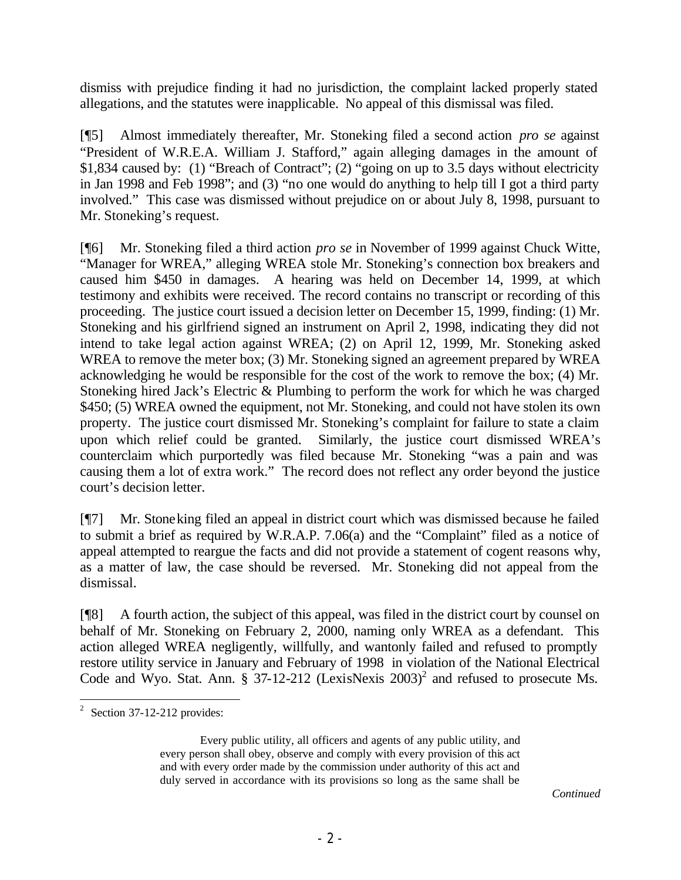dismiss with prejudice finding it had no jurisdiction, the complaint lacked properly stated allegations, and the statutes were inapplicable. No appeal of this dismissal was filed.

[¶5] Almost immediately thereafter, Mr. Stoneking filed a second action *pro se* against "President of W.R.E.A. William J. Stafford," again alleging damages in the amount of \$1,834 caused by: (1) "Breach of Contract"; (2) "going on up to 3.5 days without electricity in Jan 1998 and Feb 1998"; and (3) "no one would do anything to help till I got a third party involved." This case was dismissed without prejudice on or about July 8, 1998, pursuant to Mr. Stoneking's request.

[¶6] Mr. Stoneking filed a third action *pro se* in November of 1999 against Chuck Witte, "Manager for WREA," alleging WREA stole Mr. Stoneking's connection box breakers and caused him \$450 in damages. A hearing was held on December 14, 1999, at which testimony and exhibits were received. The record contains no transcript or recording of this proceeding. The justice court issued a decision letter on December 15, 1999, finding: (1) Mr. Stoneking and his girlfriend signed an instrument on April 2, 1998, indicating they did not intend to take legal action against WREA; (2) on April 12, 1999, Mr. Stoneking asked WREA to remove the meter box; (3) Mr. Stoneking signed an agreement prepared by WREA acknowledging he would be responsible for the cost of the work to remove the box; (4) Mr. Stoneking hired Jack's Electric & Plumbing to perform the work for which he was charged \$450; (5) WREA owned the equipment, not Mr. Stoneking, and could not have stolen its own property. The justice court dismissed Mr. Stoneking's complaint for failure to state a claim upon which relief could be granted. Similarly, the justice court dismissed WREA's counterclaim which purportedly was filed because Mr. Stoneking "was a pain and was causing them a lot of extra work." The record does not reflect any order beyond the justice court's decision letter.

[¶7] Mr. Stoneking filed an appeal in district court which was dismissed because he failed to submit a brief as required by W.R.A.P. 7.06(a) and the "Complaint" filed as a notice of appeal attempted to reargue the facts and did not provide a statement of cogent reasons why, as a matter of law, the case should be reversed. Mr. Stoneking did not appeal from the dismissal.

[¶8] A fourth action, the subject of this appeal, was filed in the district court by counsel on behalf of Mr. Stoneking on February 2, 2000, naming only WREA as a defendant. This action alleged WREA negligently, willfully, and wantonly failed and refused to promptly restore utility service in January and February of 1998 in violation of the National Electrical Code and Wyo. Stat. Ann.  $\S$  37-12-212 (LexisNexis 2003)<sup>2</sup> and refused to prosecute Ms.

 $\frac{1}{2}$  Section 37-12-212 provides:

Every public utility, all officers and agents of any public utility, and every person shall obey, observe and comply with every provision of this act and with every order made by the commission under authority of this act and duly served in accordance with its provisions so long as the same shall be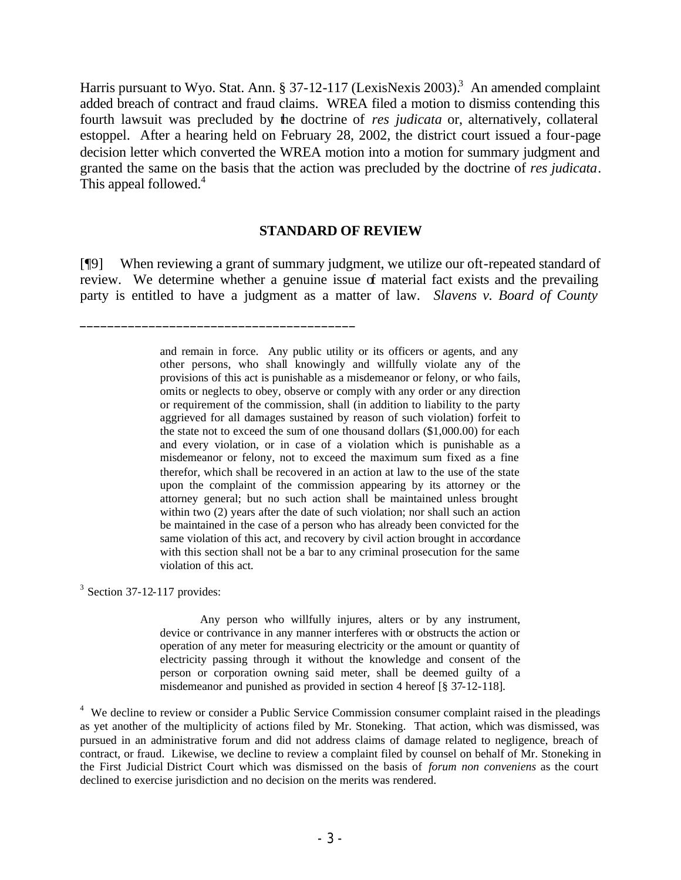Harris pursuant to Wyo. Stat. Ann. § 37-12-117 (LexisNexis 2003).<sup>3</sup> An amended complaint added breach of contract and fraud claims. WREA filed a motion to dismiss contending this fourth lawsuit was precluded by the doctrine of *res judicata* or, alternatively, collateral estoppel. After a hearing held on February 28, 2002, the district court issued a four-page decision letter which converted the WREA motion into a motion for summary judgment and granted the same on the basis that the action was precluded by the doctrine of *res judicata*. This appeal followed.<sup>4</sup>

#### **STANDARD OF REVIEW**

[¶9] When reviewing a grant of summary judgment, we utilize our oft-repeated standard of review. We determine whether a genuine issue of material fact exists and the prevailing party is entitled to have a judgment as a matter of law. *Slavens v. Board of County* 

> and remain in force. Any public utility or its officers or agents, and any other persons, who shall knowingly and willfully violate any of the provisions of this act is punishable as a misdemeanor or felony, or who fails, omits or neglects to obey, observe or comply with any order or any direction or requirement of the commission, shall (in addition to liability to the party aggrieved for all damages sustained by reason of such violation) forfeit to the state not to exceed the sum of one thousand dollars (\$1,000.00) for each and every violation, or in case of a violation which is punishable as a misdemeanor or felony, not to exceed the maximum sum fixed as a fine therefor, which shall be recovered in an action at law to the use of the state upon the complaint of the commission appearing by its attorney or the attorney general; but no such action shall be maintained unless brought within two (2) years after the date of such violation; nor shall such an action be maintained in the case of a person who has already been convicted for the same violation of this act, and recovery by civil action brought in accordance with this section shall not be a bar to any criminal prosecution for the same violation of this act.

 $3$  Section 37-12-117 provides:

 $\frac{1}{2}$  , and the set of the set of the set of the set of the set of the set of the set of the set of the set of the set of the set of the set of the set of the set of the set of the set of the set of the set of the set

Any person who willfully injures, alters or by any instrument, device or contrivance in any manner interferes with or obstructs the action or operation of any meter for measuring electricity or the amount or quantity of electricity passing through it without the knowledge and consent of the person or corporation owning said meter, shall be deemed guilty of a misdemeanor and punished as provided in section 4 hereof [§ 37-12-118].

<sup>4</sup> We decline to review or consider a Public Service Commission consumer complaint raised in the pleadings as yet another of the multiplicity of actions filed by Mr. Stoneking. That action, which was dismissed, was pursued in an administrative forum and did not address claims of damage related to negligence, breach of contract, or fraud. Likewise, we decline to review a complaint filed by counsel on behalf of Mr. Stoneking in the First Judicial District Court which was dismissed on the basis of *forum non conveniens* as the court declined to exercise jurisdiction and no decision on the merits was rendered.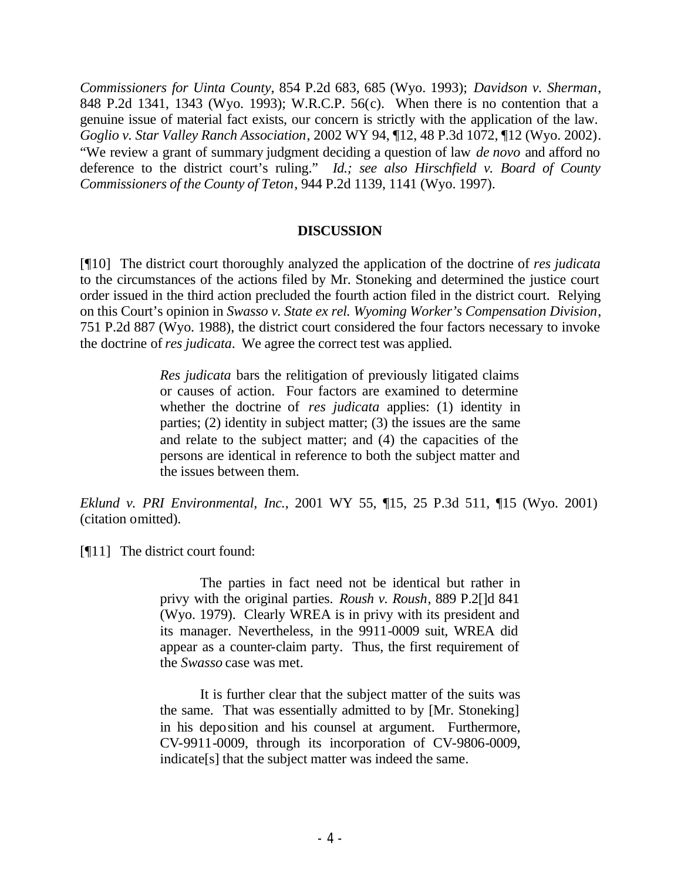*Commissioners for Uinta County*, 854 P.2d 683, 685 (Wyo. 1993); *Davidson v. Sherman*, 848 P.2d 1341, 1343 (Wyo. 1993); W.R.C.P. 56(c). When there is no contention that a genuine issue of material fact exists, our concern is strictly with the application of the law. *Goglio v. Star Valley Ranch Association*, 2002 WY 94, ¶12, 48 P.3d 1072, ¶12 (Wyo. 2002). "We review a grant of summary judgment deciding a question of law *de novo* and afford no deference to the district court's ruling." *Id.; see also Hirschfield v. Board of County Commissioners of the County of Teton*, 944 P.2d 1139, 1141 (Wyo. 1997).

## **DISCUSSION**

[¶10] The district court thoroughly analyzed the application of the doctrine of *res judicata* to the circumstances of the actions filed by Mr. Stoneking and determined the justice court order issued in the third action precluded the fourth action filed in the district court. Relying on this Court's opinion in *Swasso v. State ex rel. Wyoming Worker's Compensation Division*, 751 P.2d 887 (Wyo. 1988), the district court considered the four factors necessary to invoke the doctrine of *res judicata*. We agree the correct test was applied.

> *Res judicata* bars the relitigation of previously litigated claims or causes of action. Four factors are examined to determine whether the doctrine of *res judicata* applies: (1) identity in parties; (2) identity in subject matter; (3) the issues are the same and relate to the subject matter; and (4) the capacities of the persons are identical in reference to both the subject matter and the issues between them.

*Eklund v. PRI Environmental, Inc.*, 2001 WY 55, ¶15, 25 P.3d 511, ¶15 (Wyo. 2001) (citation omitted).

[¶11] The district court found:

The parties in fact need not be identical but rather in privy with the original parties. *Roush v. Roush*, 889 P.2[]d 841 (Wyo. 1979). Clearly WREA is in privy with its president and its manager. Nevertheless, in the 9911-0009 suit, WREA did appear as a counter-claim party. Thus, the first requirement of the *Swasso* case was met.

It is further clear that the subject matter of the suits was the same. That was essentially admitted to by [Mr. Stoneking] in his deposition and his counsel at argument. Furthermore, CV-9911-0009, through its incorporation of CV-9806-0009, indicate[s] that the subject matter was indeed the same.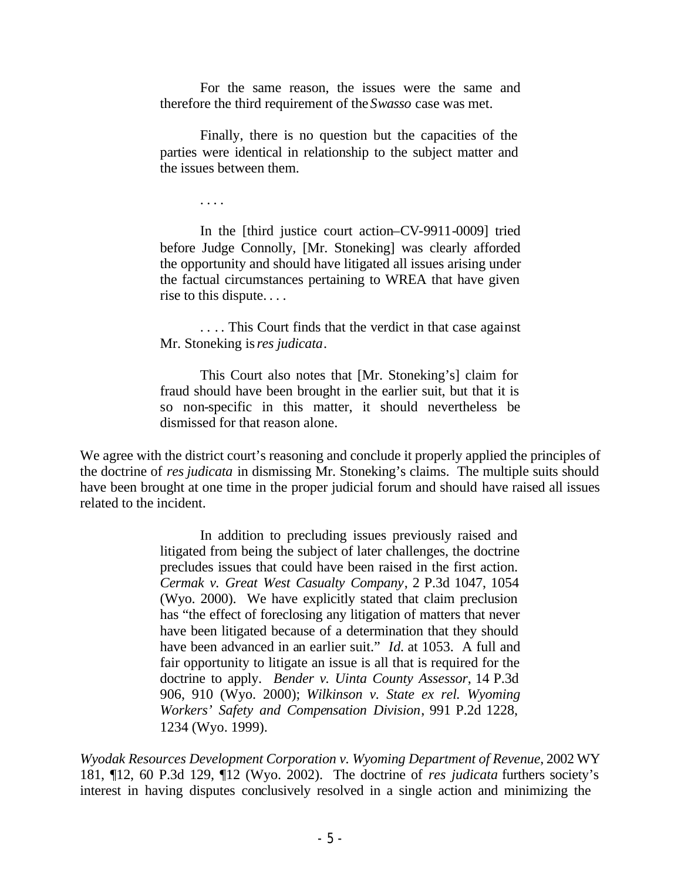For the same reason, the issues were the same and therefore the third requirement of the *Swasso* case was met.

Finally, there is no question but the capacities of the parties were identical in relationship to the subject matter and the issues between them.

. . . .

In the [third justice court action–CV-9911-0009] tried before Judge Connolly, [Mr. Stoneking] was clearly afforded the opportunity and should have litigated all issues arising under the factual circumstances pertaining to WREA that have given rise to this dispute. . . .

. . . . This Court finds that the verdict in that case against Mr. Stoneking is *res judicata*.

This Court also notes that [Mr. Stoneking's] claim for fraud should have been brought in the earlier suit, but that it is so non-specific in this matter, it should nevertheless be dismissed for that reason alone.

We agree with the district court's reasoning and conclude it properly applied the principles of the doctrine of *res judicata* in dismissing Mr. Stoneking's claims. The multiple suits should have been brought at one time in the proper judicial forum and should have raised all issues related to the incident.

> In addition to precluding issues previously raised and litigated from being the subject of later challenges, the doctrine precludes issues that could have been raised in the first action. *Cermak v. Great West Casualty Company*, 2 P.3d 1047, 1054 (Wyo. 2000). We have explicitly stated that claim preclusion has "the effect of foreclosing any litigation of matters that never have been litigated because of a determination that they should have been advanced in an earlier suit." *Id.* at 1053. A full and fair opportunity to litigate an issue is all that is required for the doctrine to apply. *Bender v. Uinta County Assessor*, 14 P.3d 906, 910 (Wyo. 2000); *Wilkinson v. State ex rel. Wyoming Workers' Safety and Compensation Division*, 991 P.2d 1228, 1234 (Wyo. 1999).

*Wyodak Resources Development Corporation v. Wyoming Department of Revenue*, 2002 WY 181, ¶12, 60 P.3d 129, ¶12 (Wyo. 2002). The doctrine of *res judicata* furthers society's interest in having disputes conclusively resolved in a single action and minimizing the